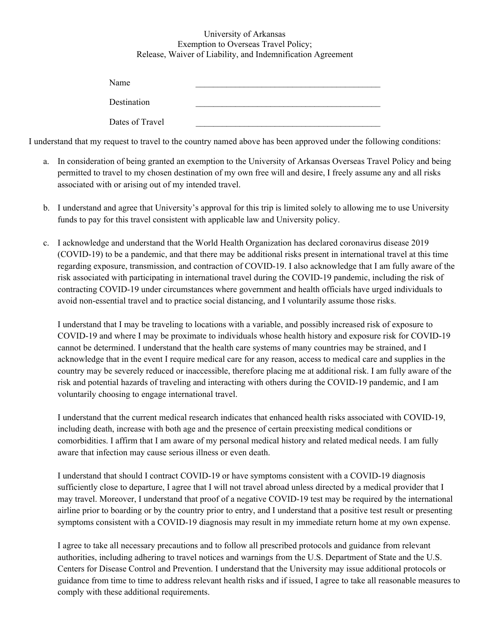## University of Arkansas Exemption to Overseas Travel Policy; Release, Waiver of Liability, and Indemnification Agreement

| Name            |  |
|-----------------|--|
| Destination     |  |
| Dates of Travel |  |

I understand that my request to travel to the country named above has been approved under the following conditions:

- a. In consideration of being granted an exemption to the University of Arkansas Overseas Travel Policy and being permitted to travel to my chosen destination of my own free will and desire, I freely assume any and all risks associated with or arising out of my intended travel.
- b. I understand and agree that University's approval for this trip is limited solely to allowing me to use University funds to pay for this travel consistent with applicable law and University policy.
- c. I acknowledge and understand that the World Health Organization has declared coronavirus disease 2019 (COVID-19) to be a pandemic, and that there may be additional risks present in international travel at this time regarding exposure, transmission, and contraction of COVID-19. I also acknowledge that I am fully aware of the risk associated with participating in international travel during the COVID-19 pandemic, including the risk of contracting COVID-19 under circumstances where government and health officials have urged individuals to avoid non-essential travel and to practice social distancing, and I voluntarily assume those risks.

I understand that I may be traveling to locations with a variable, and possibly increased risk of exposure to COVID-19 and where I may be proximate to individuals whose health history and exposure risk for COVID-19 cannot be determined. I understand that the health care systems of many countries may be strained, and I acknowledge that in the event I require medical care for any reason, access to medical care and supplies in the country may be severely reduced or inaccessible, therefore placing me at additional risk. I am fully aware of the risk and potential hazards of traveling and interacting with others during the COVID-19 pandemic, and I am voluntarily choosing to engage international travel.

I understand that the current medical research indicates that enhanced health risks associated with COVID-19, including death, increase with both age and the presence of certain preexisting medical conditions or comorbidities. I affirm that I am aware of my personal medical history and related medical needs. I am fully aware that infection may cause serious illness or even death.

I understand that should I contract COVID-19 or have symptoms consistent with a COVID-19 diagnosis sufficiently close to departure, I agree that I will not travel abroad unless directed by a medical provider that I may travel. Moreover, I understand that proof of a negative COVID-19 test may be required by the international airline prior to boarding or by the country prior to entry, and I understand that a positive test result or presenting symptoms consistent with a COVID-19 diagnosis may result in my immediate return home at my own expense.

I agree to take all necessary precautions and to follow all prescribed protocols and guidance from relevant authorities, including adhering to travel notices and warnings from the U.S. Department of State and the U.S. Centers for Disease Control and Prevention. I understand that the University may issue additional protocols or guidance from time to time to address relevant health risks and if issued, I agree to take all reasonable measures to comply with these additional requirements.